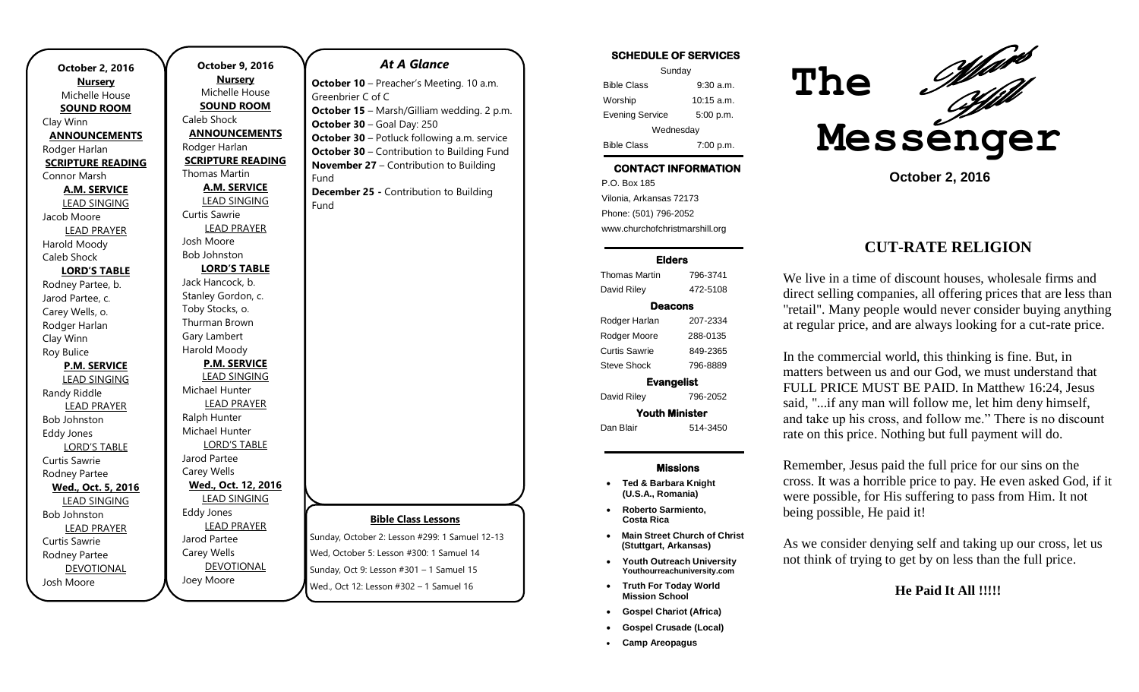| <b>October 2, 2016</b>   |
|--------------------------|
| <b>Nursery</b>           |
| Michelle House           |
| <u>SOUND ROOM</u>        |
| Clay Winn                |
| <b>ANNOUNCEMENTS</b>     |
| Rodger Harlan            |
| <b>SCRIPTURE READING</b> |
| Connor Marsh             |
| <b>A.M. SERVICE</b>      |
| <b>LEAD SINGING</b>      |
| Jacob Moore              |
| <b>LEAD PRAYER</b>       |
| Harold Moody             |
| Caleb Shock              |
| <b>LORD'S TABLE</b>      |
| Rodney Partee, b.        |
| Jarod Partee, c.         |
| Carey Wells, o.          |
| Rodger Harlan            |
| Clay Winn                |
| Roy Bulice               |
| <b>P.M. SERVICE</b>      |
| <u>LEAD SINGING</u>      |
| Randy Riddle             |
| <b>LEAD PRAYER</b>       |
| <b>Bob Johnston</b>      |
| <b>Eddy Jones</b>        |
| <b>LORD'S TABLE</b>      |
| Curtis Sawrie            |
| Rodney Partee            |
| Wed., Oct. 5, 2016       |
| <b>LEAD SINGING</b>      |
| <b>Bob Johnston</b>      |
| <b>LEAD PRAYER</b>       |
| Curtis Sawrie            |
| Rodney Partee            |
| <b>DEVOTIONAL</b>        |
| Josh Moore               |

**October 9, 2016 Nursery** Michelle House **SOUND ROOM** Caleb Shock **ANNOUNCEMENTS** Rodger Harlan **SCRIPTURE READING** Thomas Martin **A.M. SERVICE** LEAD SINGING Curtis Sawrie LEAD PRAYER Josh Moore Bob Johnston **LORD'S TABLE** Jack Hancock, b. Stanley Gordon, c. Toby Stocks, o. Thurman Brown Gary Lambert Harold Moody **P.M. SERVICE** LEAD SINGING Michael Hunter LEAD PRAYER Ralph Hunter Michael Hunter LORD'S TABLE Jarod Partee Carey Wells **Wed., Oct. 12, 2016** LEAD SINGING Eddy Jones LEAD PRAYER Jarod Partee Carey Wells DEVOTIONAL Joey Moore

# **Bible Class Lessons** Sunday, October 2: Lesson #299: 1 Samuel 12-13 Wed, October 5: Lesson #300: 1 Samuel 14 Sunday, Oct 9: Lesson #301 – 1 Samuel 15 Wed., Oct 12: Lesson #302 – 1 Samuel 16 *At A Glance*  **October 10** - Preacher's Meeting. 10 a.m. Greenbrier C of C **October 15** – Marsh/Gilliam wedding. 2 p.m. **October 30** – Goal Day: 250 **October 30** – Potluck following a.m. service **October 30 – Contribution to Building Fund November 27** – Contribution to Building Fund **December 25 -** Contribution to Building Fund

#### **SCHEDULE OF SERVICES**  Sunday Bible Class 9:30 a.m. Worship 10:15 a.m. Evening Service 5:00 p.m. Wednesday Bible Class 7:00 p.m. **CONTACT INFORMATION** . .o. Bex Tee<br>Vilonia, Arkansas 72173 P.O. Box 185 Phone: (501) 796-2052 www.churchofchristmarshill.org

#### **Elders**

Thomas Martin 796-3741 David Riley 472-5108 **Deacons**  Rodger Harlan 207-2334 Rodger Moore 288-0135 Curtis Sawrie 849-2365 Steve Shock 796-8889 **Evangelist**  David Riley 796-2052 **Youth Minister** 

Dan Blair 514-3450

#### **Missions**

- **Ted & Barbara Knight (U.S.A., Romania)**
- **Roberto Sarmiento, Costa Rica**
- **Main Street Church of Christ (Stuttgart, Arkansas)**
- **Youth Outreach University Youthourreachuniversity.com**
- **Truth For Today World Mission School**
- **Gospel Chariot (Africa)**
- **Gospel Crusade (Local)**
- **Camp Areopagus**



**October 2, 2016**

# **CUT-RATE RELIGION**

We live in a time of discount houses, wholesale firms and direct selling companies, all offering prices that are less than "retail". Many people would never consider buying anything at regular price, and are always looking for a cut-rate price.

In the commercial world, this thinking is fine. But, in matters between us and our God, we must understand that FULL PRICE MUST BE PAID. In Matthew 16:24, Jesus said, "...if any man will follow me, let him deny himself, and take up his cross, and follow me." There is no discount rate on this price. Nothing but full payment will do.

Remember, Jesus paid the full price for our sins on the cross. It was a horrible price to pay. He even asked God, if it were possible, for His suffering to pass from Him. It not being possible, He paid it!

As we consider denying self and taking up our cross, let us not think of trying to get by on less than the full price.

#### **He Paid It All !!!!!**